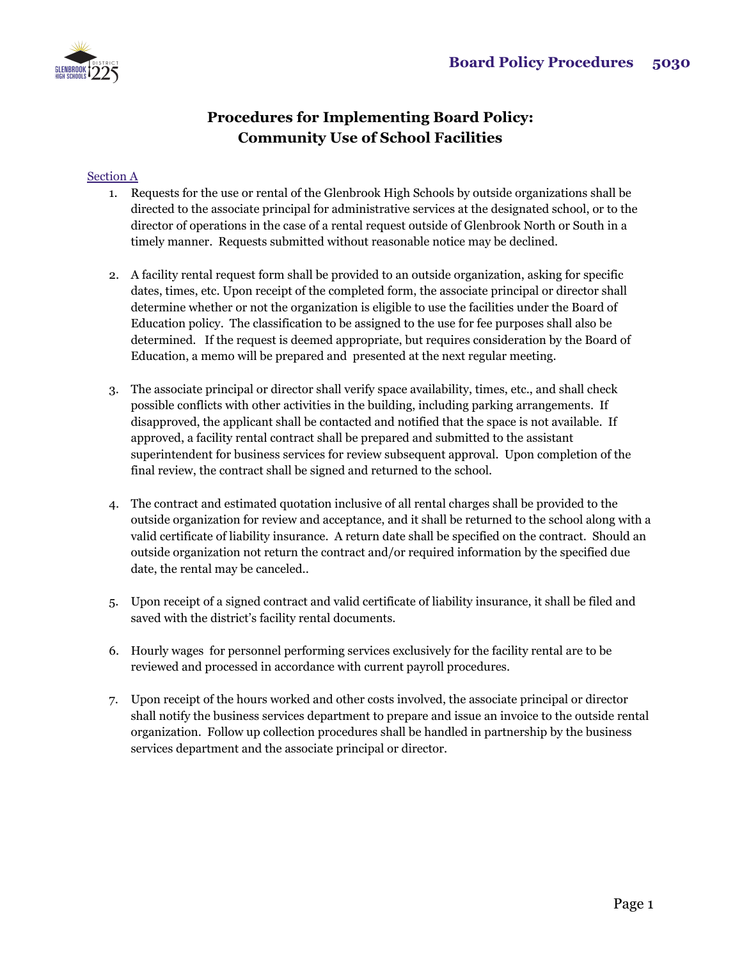

## **Procedures for Implementing Board Policy: Community Use of School Facilities**

## Section A

- 1. Requests for the use or rental of the Glenbrook High Schools by outside organizations shall be directed to the associate principal for administrative services at the designated school, or to the director of operations in the case of a rental request outside of Glenbrook North or South in a timely manner. Requests submitted without reasonable notice may be declined.
- 2. A facility rental request form shall be provided to an outside organization, asking for specific dates, times, etc. Upon receipt of the completed form, the associate principal or director shall determine whether or not the organization is eligible to use the facilities under the Board of Education policy. The classification to be assigned to the use for fee purposes shall also be determined. If the request is deemed appropriate, but requires consideration by the Board of Education, a memo will be prepared and presented at the next regular meeting.
- 3. The associate principal or director shall verify space availability, times, etc., and shall check possible conflicts with other activities in the building, including parking arrangements. If disapproved, the applicant shall be contacted and notified that the space is not available. If approved, a facility rental contract shall be prepared and submitted to the assistant superintendent for business services for review subsequent approval. Upon completion of the final review, the contract shall be signed and returned to the school.
- 4. The contract and estimated quotation inclusive of all rental charges shall be provided to the outside organization for review and acceptance, and it shall be returned to the school along with a valid certificate of liability insurance. A return date shall be specified on the contract. Should an outside organization not return the contract and/or required information by the specified due date, the rental may be canceled..
- 5. Upon receipt of a signed contract and valid certificate of liability insurance, it shall be filed and saved with the district's facility rental documents.
- 6. Hourly wages for personnel performing services exclusively for the facility rental are to be reviewed and processed in accordance with current payroll procedures.
- 7. Upon receipt of the hours worked and other costs involved, the associate principal or director shall notify the business services department to prepare and issue an invoice to the outside rental organization. Follow up collection procedures shall be handled in partnership by the business services department and the associate principal or director.